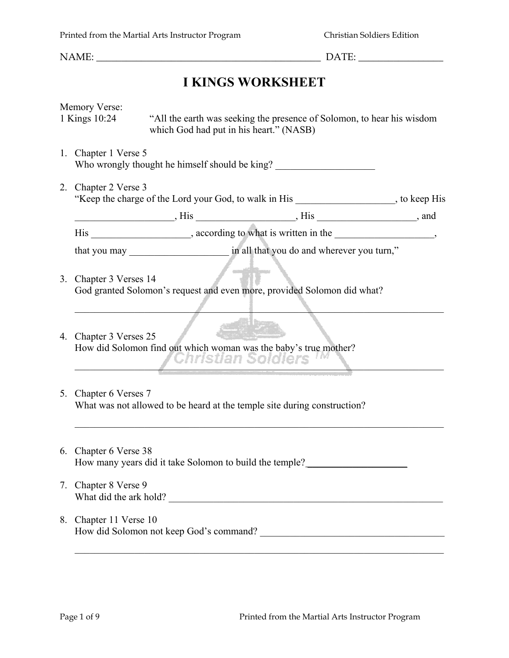## **I KINGS WORKSHEET**

|    | Memory Verse:<br>1 Kings 10:24                                                                            | which God had put in his heart." (NASB)                                                               | "All the earth was seeking the presence of Solomon, to hear his wisdom   |  |  |
|----|-----------------------------------------------------------------------------------------------------------|-------------------------------------------------------------------------------------------------------|--------------------------------------------------------------------------|--|--|
|    | 1. Chapter 1 Verse 5                                                                                      |                                                                                                       | Who wrongly thought he himself should be king?                           |  |  |
| 2. | Chapter 2 Verse 3<br>"Keep the charge of the Lord your God, to walk in His _________________, to keep His |                                                                                                       |                                                                          |  |  |
|    |                                                                                                           |                                                                                                       |                                                                          |  |  |
|    | His _____________________, according to what is written in the _________________,                         |                                                                                                       |                                                                          |  |  |
|    |                                                                                                           |                                                                                                       |                                                                          |  |  |
|    | 3. Chapter 3 Verses 14                                                                                    | $\label{eq:4} \mathcal{L}=\mathcal{L}^{\text{eff}}_{\text{eff}}\mathcal{L}^{\text{eff}}_{\text{eff}}$ | God granted Solomon's request and even more, provided Solomon did what?  |  |  |
|    | 4. Chapter 3 Verses 25                                                                                    | How did Solomon find out which woman was the baby's true mother?<br><i>'Christian Soldiers</i>        |                                                                          |  |  |
|    | 5. Chapter 6 Verses 7                                                                                     |                                                                                                       | What was not allowed to be heard at the temple site during construction? |  |  |
|    | 6. Chapter 6 Verse 38                                                                                     | How many years did it take Solomon to build the temple?                                               |                                                                          |  |  |
|    | 7. Chapter 8 Verse 9                                                                                      | What did the ark hold?                                                                                |                                                                          |  |  |
|    | 8. Chapter 11 Verse 10                                                                                    |                                                                                                       | How did Solomon not keep God's command?                                  |  |  |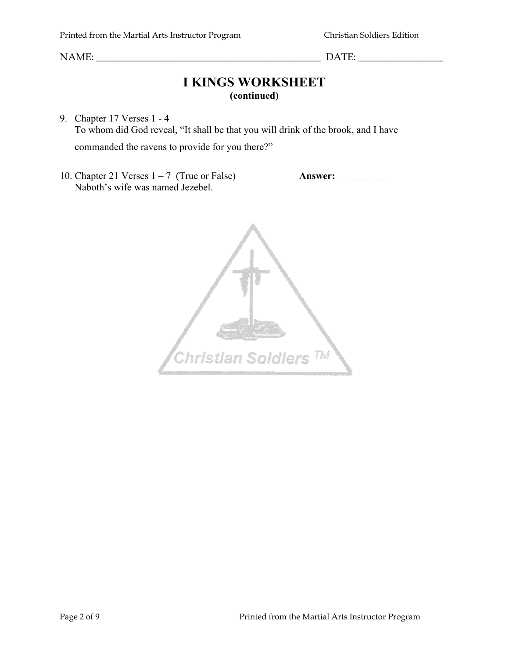#### **I KINGS WORKSHEET (continued)**

9. Chapter 17 Verses 1 - 4 To whom did God reveal, "It shall be that you will drink of the brook, and I have commanded the ravens to provide for you there?" \_\_\_\_\_\_\_\_\_\_\_\_\_\_\_\_\_\_\_\_\_\_\_\_\_\_\_\_\_\_\_\_\_

10. Chapter 21 Verses 1 – 7 (True or False) **Answer:** \_\_\_\_\_\_\_\_\_\_ Naboth's wife was named Jezebel.

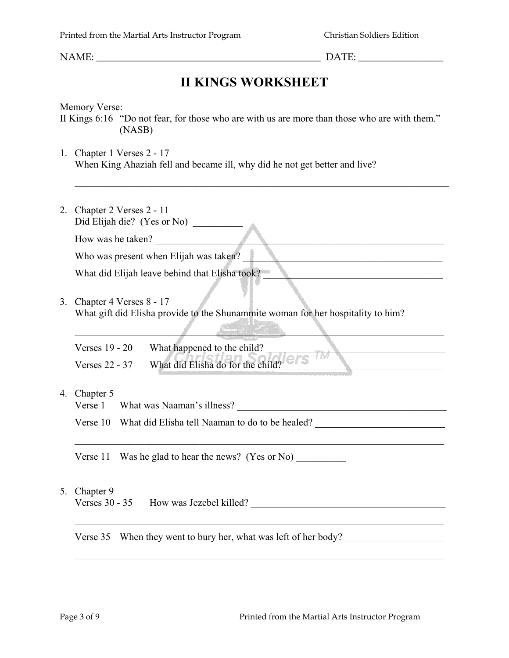### **II KINGS WORKSHEET**

Memory Verse:

II Kings 6:16 "Do not fear, for those who are with us are more than those who are with them." (NASB)

 $\mathcal{L}_\mathcal{L} = \{ \mathcal{L}_\mathcal{L} = \{ \mathcal{L}_\mathcal{L} = \{ \mathcal{L}_\mathcal{L} = \{ \mathcal{L}_\mathcal{L} = \{ \mathcal{L}_\mathcal{L} = \{ \mathcal{L}_\mathcal{L} = \{ \mathcal{L}_\mathcal{L} = \{ \mathcal{L}_\mathcal{L} = \{ \mathcal{L}_\mathcal{L} = \{ \mathcal{L}_\mathcal{L} = \{ \mathcal{L}_\mathcal{L} = \{ \mathcal{L}_\mathcal{L} = \{ \mathcal{L}_\mathcal{L} = \{ \mathcal{L}_\mathcal{$ 

1. Chapter 1 Verses 2 - 17 When King Ahaziah fell and became ill, why did he not get better and live?

|    | 2. Chapter 2 Verses 2 - 11<br>Did Elijah die? (Yes or No)                                                   |  |  |  |  |
|----|-------------------------------------------------------------------------------------------------------------|--|--|--|--|
|    | How was he taken?                                                                                           |  |  |  |  |
|    | Who was present when Elijah was taken?                                                                      |  |  |  |  |
|    | What did Elijah leave behind that Elisha took?                                                              |  |  |  |  |
| 3. | Chapter 4 Verses 8 - 17<br>What gift did Elisha provide to the Shunammite woman for her hospitality to him? |  |  |  |  |
|    | Verses 19 - 20<br>What happened to the child?                                                               |  |  |  |  |
|    | What did Elisha do for the child?<br><b>Verses 22 - 37</b>                                                  |  |  |  |  |
|    | 4. Chapter 5                                                                                                |  |  |  |  |
|    | Verse 10 What did Elisha tell Naaman to do to be healed?                                                    |  |  |  |  |
|    | Verse $11$ Was he glad to hear the news? (Yes or No)                                                        |  |  |  |  |
| 5. | Chapter 9<br>Verses 30 - 35 How was Jezebel killed?                                                         |  |  |  |  |
|    | When they went to bury her, what was left of her body?<br>Verse 35                                          |  |  |  |  |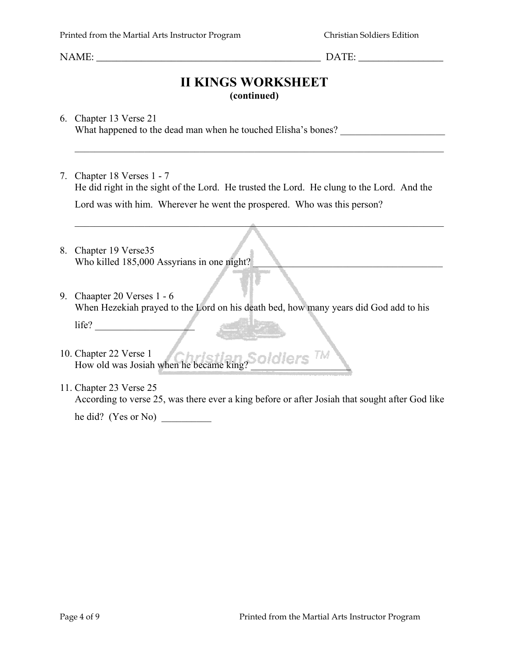NAME:  $\Box$ 

#### **II KINGS WORKSHEET (continued)**

 $\mathcal{L}_\text{max}$  , and the contribution of the contribution of the contribution of the contribution of the contribution of the contribution of the contribution of the contribution of the contribution of the contribution of t

 $\mathcal{L}_\text{max}$  and  $\mathcal{L}_\text{max}$  and  $\mathcal{L}_\text{max}$  and  $\mathcal{L}_\text{max}$  and  $\mathcal{L}_\text{max}$  and  $\mathcal{L}_\text{max}$  and  $\mathcal{L}_\text{max}$ 

6. Chapter 13 Verse 21 What happened to the dead man when he touched Elisha's bones?

- 7. Chapter 18 Verses 1 7 He did right in the sight of the Lord. He trusted the Lord. He clung to the Lord. And the Lord was with him. Wherever he went the prospered. Who was this person?
- 8. Chapter 19 Verse35 Who killed 185,000 Assyrians in one night?
- 9. Chaapter 20 Verses 1 6 When Hezekiah prayed to the Lord on his death bed, how many years did God add to his

life? \_\_\_\_\_\_\_\_\_\_\_\_\_\_\_\_\_\_\_\_

- 10. Chapter 22 Verse 1 Chapter 22 Verse 1<br>How old was Josiah when he became king?
- 11. Chapter 23 Verse 25 According to verse 25, was there ever a king before or after Josiah that sought after God like

he did? (Yes or No) \_\_\_\_\_\_\_\_\_\_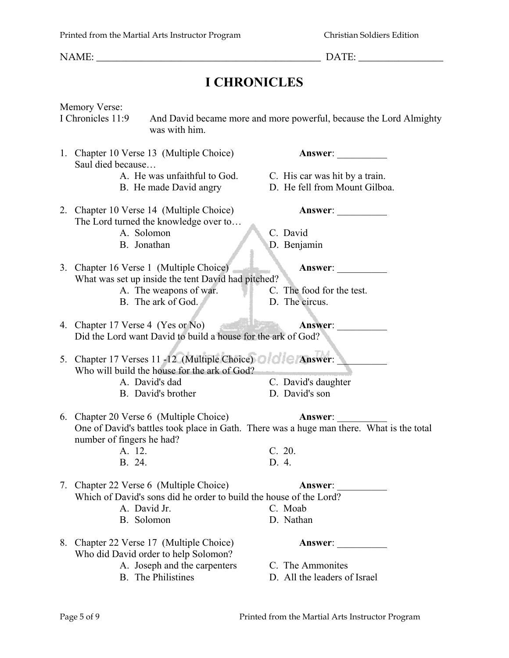NAME:  $\Box$ 

# **I CHRONICLES**

Memory Verse:<br>I Chronicles 11:9 And David became more and more powerful, because the Lord Almighty was with him. 1. Chapter 10 Verse 13 (Multiple Choice) **Answer**: Saul died because… A. He was unfaithful to God. C. His car was hit by a train. B. He made David angry D. He fell from Mount Gilboa. 2. Chapter 10 Verse 14 (Multiple Choice) **Answer**: The Lord turned the knowledge over to… A. Solomon C. David B. Jonathan D. Benjamin 3. Chapter 16 Verse 1 (Multiple Choice) **Answer**: What was set up inside the tent David had pitched? A. The weapons of war. C. The food for the test. B. The ark of God. D. The circus. 4. Chapter 17 Verse 4 (Yes or No) **Answer**: \_\_\_\_\_\_\_\_\_\_ Did the Lord want David to build a house for the ark of God? 5. Chapter 17 Verses 11 -12 (Multiple Choice) **Answer:** Who will build the house for the ark of God? A. David's dad C. David's daughter B. David's brother D. David's son 6. Chapter 20 Verse 6 (Multiple Choice) **Answer**: \_\_\_\_\_\_\_\_\_\_ One of David's battles took place in Gath. There was a huge man there. What is the total number of fingers he had? A. 12. C. 20. B. 24. D. 4. 7. Chapter 22 Verse 6 (Multiple Choice) **Answer**: \_\_\_\_\_\_\_\_\_\_ Which of David's sons did he order to build the house of the Lord? A. David Jr. C. Moab B. Solomon D. Nathan 8. Chapter 22 Verse 17 (Multiple Choice) **Answer**: Who did David order to help Solomon? A. Joseph and the carpenters C. The Ammonites<br>B. The Philistines D. All the leaders of D. All the leaders of Israel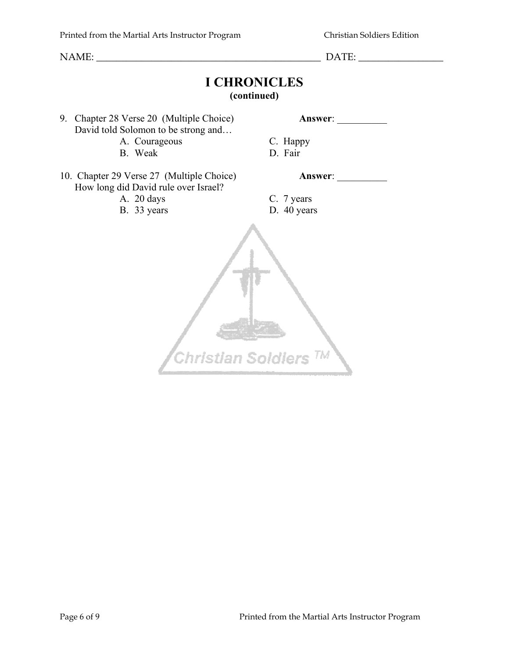# **I CHRONICLES**

#### **(continued)**

9. Chapter 28 Verse 20 (Multiple Choice) **Answer**: David told Solomon to be strong and...

A. Courageous C. Happy

B. Weak D. Fair

10. Chapter 29 Verse 27 (Multiple Choice) **Answer**: How long did David rule over Israel?

- A. 20 days C. 7 years
- B. 33 years D. 40 years

Christian Soldiers<sup>TM</sup>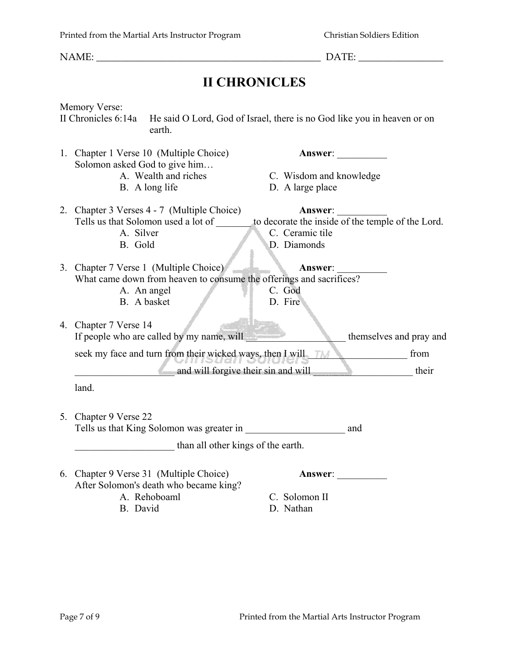## **II CHRONICLES**

|  | Memory Verse:                                                                                            |  |  |  |  |
|--|----------------------------------------------------------------------------------------------------------|--|--|--|--|
|  | II Chronicles 6:14a<br>He said O Lord, God of Israel, there is no God like you in heaven or on<br>earth. |  |  |  |  |
|  | 1. Chapter 1 Verse 10 (Multiple Choice)<br>Answer:<br>Solomon asked God to give him                      |  |  |  |  |
|  | A. Wealth and riches<br>C. Wisdom and knowledge                                                          |  |  |  |  |
|  | B. A long life<br>D. A large place                                                                       |  |  |  |  |
|  | 2. Chapter 3 Verses 4 - 7 (Multiple Choice)<br>Answer:                                                   |  |  |  |  |
|  | Tells us that Solomon used a lot of<br>to decorate the inside of the temple of the Lord.                 |  |  |  |  |
|  | A. Silver<br>C. Ceramic tile                                                                             |  |  |  |  |
|  | B. Gold<br>D. Diamonds                                                                                   |  |  |  |  |
|  | 3. Chapter 7 Verse 1 (Multiple Choice)<br>Answer:                                                        |  |  |  |  |
|  | What came down from heaven to consume the offerings and sacrifices?                                      |  |  |  |  |
|  | C. God<br>A. An angel<br>B. A basket                                                                     |  |  |  |  |
|  | D. Fire                                                                                                  |  |  |  |  |
|  | 4. Chapter 7 Verse 14                                                                                    |  |  |  |  |
|  | If people who are called by my name, will<br>themselves and pray and                                     |  |  |  |  |
|  | seek my face and turn from their wicked ways, then I will<br>from                                        |  |  |  |  |
|  | and will forgive their sin and will<br>their                                                             |  |  |  |  |
|  | land.                                                                                                    |  |  |  |  |
|  | 5. Chapter 9 Verse 22                                                                                    |  |  |  |  |
|  | Tells us that King Solomon was greater in<br>and                                                         |  |  |  |  |
|  | than all other kings of the earth.                                                                       |  |  |  |  |
|  | 6. Chapter 9 Verse 31 (Multiple Choice)<br><b>Answer:</b><br>After Solomon's death who became king?      |  |  |  |  |

- A. Rehoboaml C. Solomon II
	-

B. David D. Nathan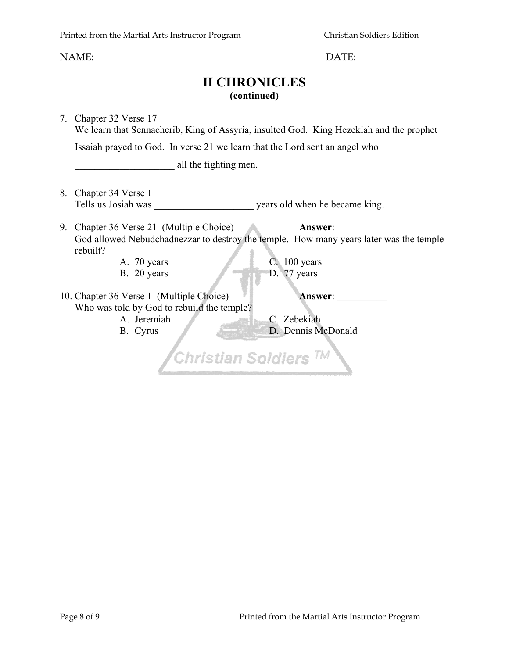NAME:  $\Box$ 

#### **II CHRONICLES (continued)**

7. Chapter 32 Verse 17 We learn that Sennacherib, King of Assyria, insulted God. King Hezekiah and the prophet Issaiah prayed to God. In verse 21 we learn that the Lord sent an angel who equal the fighting men. 8. Chapter 34 Verse 1 Tells us Josiah was vears old when he became king. 9. Chapter 36 Verse 21 (Multiple Choice) **Answer**: \_\_\_\_\_\_\_\_\_\_ God allowed Nebudchadnezzar to destroy the temple. How many years later was the temple rebuilt? A. 70 years C. 100 years B. 20 years D. 77 years 10. Chapter 36 Verse 1 (Multiple Choice) **Answer**: \_\_\_\_\_\_\_\_\_\_ Who was told by God to rebuild the temple? A. Jeremiah C. Zebekiah B. Cyrus D. Dennis McDonald Christian Soldiers<sup>TM</sup>